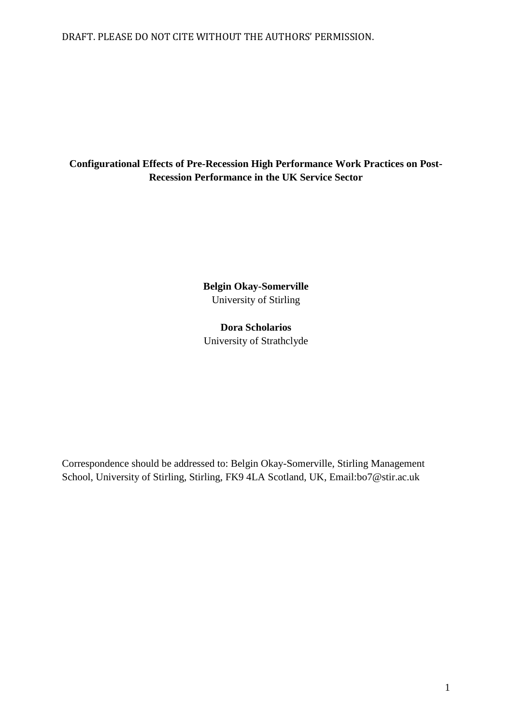# DRAFT. PLEASE DO NOT CITE WITHOUT THE AUTHORS' PERMISSION.

# **Configurational Effects of Pre-Recession High Performance Work Practices on Post-Recession Performance in the UK Service Sector**

**Belgin Okay-Somerville** University of Stirling

**Dora Scholarios** University of Strathclyde

Correspondence should be addressed to: Belgin Okay-Somerville, Stirling Management School, University of Stirling, Stirling, FK9 4LA Scotland, UK, Email:bo7@stir.ac.uk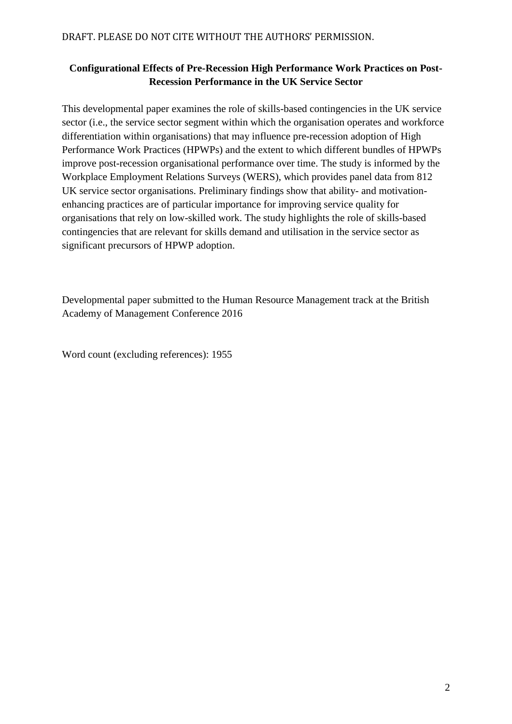# **Configurational Effects of Pre-Recession High Performance Work Practices on Post-Recession Performance in the UK Service Sector**

This developmental paper examines the role of skills-based contingencies in the UK service sector (i.e., the service sector segment within which the organisation operates and workforce differentiation within organisations) that may influence pre-recession adoption of High Performance Work Practices (HPWPs) and the extent to which different bundles of HPWPs improve post-recession organisational performance over time. The study is informed by the Workplace Employment Relations Surveys (WERS), which provides panel data from 812 UK service sector organisations. Preliminary findings show that ability- and motivationenhancing practices are of particular importance for improving service quality for organisations that rely on low-skilled work. The study highlights the role of skills-based contingencies that are relevant for skills demand and utilisation in the service sector as significant precursors of HPWP adoption.

Developmental paper submitted to the Human Resource Management track at the British Academy of Management Conference 2016

Word count (excluding references): 1955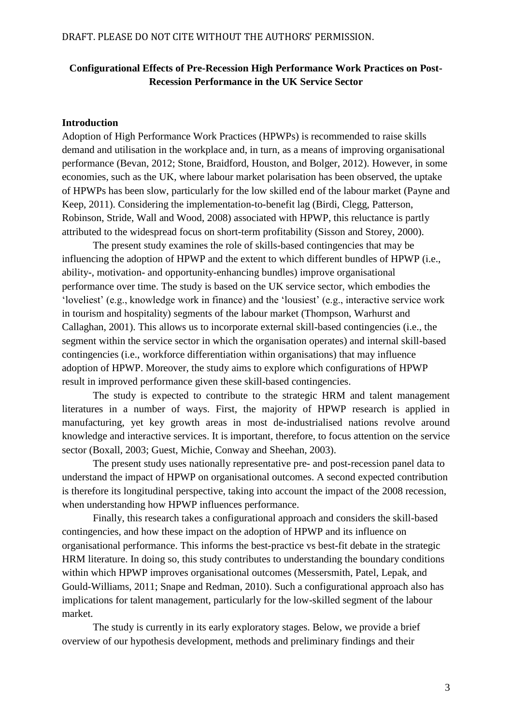# **Configurational Effects of Pre-Recession High Performance Work Practices on Post-Recession Performance in the UK Service Sector**

#### **Introduction**

Adoption of High Performance Work Practices (HPWPs) is recommended to raise skills demand and utilisation in the workplace and, in turn, as a means of improving organisational performance (Bevan, 2012; Stone, Braidford, Houston, and Bolger, 2012). However, in some economies, such as the UK, where labour market polarisation has been observed, the uptake of HPWPs has been slow, particularly for the low skilled end of the labour market (Payne and Keep, 2011). Considering the implementation-to-benefit lag (Birdi, Clegg, Patterson, Robinson, Stride, Wall and Wood, 2008) associated with HPWP, this reluctance is partly attributed to the widespread focus on short-term profitability (Sisson and Storey, 2000).

The present study examines the role of skills-based contingencies that may be influencing the adoption of HPWP and the extent to which different bundles of HPWP (i.e., ability-, motivation- and opportunity-enhancing bundles) improve organisational performance over time. The study is based on the UK service sector, which embodies the 'loveliest' (e.g., knowledge work in finance) and the 'lousiest' (e.g., interactive service work in tourism and hospitality) segments of the labour market (Thompson, Warhurst and Callaghan, 2001). This allows us to incorporate external skill-based contingencies (i.e., the segment within the service sector in which the organisation operates) and internal skill-based contingencies (i.e., workforce differentiation within organisations) that may influence adoption of HPWP. Moreover, the study aims to explore which configurations of HPWP result in improved performance given these skill-based contingencies.

The study is expected to contribute to the strategic HRM and talent management literatures in a number of ways. First, the majority of HPWP research is applied in manufacturing, yet key growth areas in most de-industrialised nations revolve around knowledge and interactive services. It is important, therefore, to focus attention on the service sector (Boxall, 2003; Guest, Michie, Conway and Sheehan, 2003).

The present study uses nationally representative pre- and post-recession panel data to understand the impact of HPWP on organisational outcomes. A second expected contribution is therefore its longitudinal perspective, taking into account the impact of the 2008 recession, when understanding how HPWP influences performance.

Finally, this research takes a configurational approach and considers the skill-based contingencies, and how these impact on the adoption of HPWP and its influence on organisational performance. This informs the best-practice vs best-fit debate in the strategic HRM literature. In doing so, this study contributes to understanding the boundary conditions within which HPWP improves organisational outcomes (Messersmith, Patel, Lepak, and Gould-Williams, 2011; Snape and Redman, 2010). Such a configurational approach also has implications for talent management, particularly for the low-skilled segment of the labour market.

The study is currently in its early exploratory stages. Below, we provide a brief overview of our hypothesis development, methods and preliminary findings and their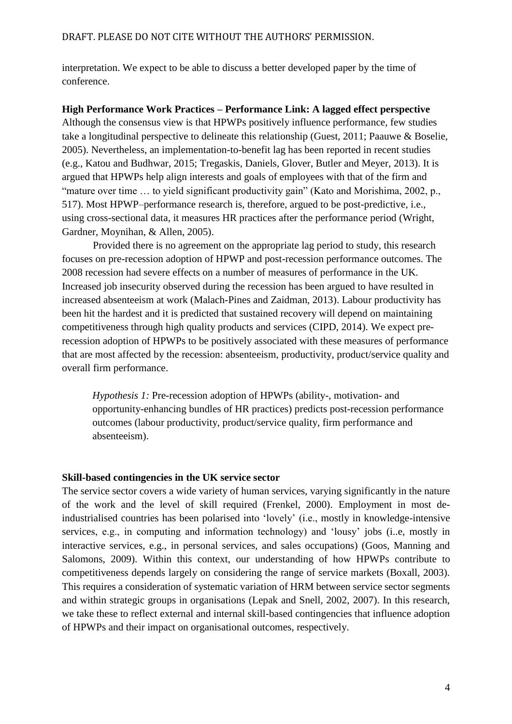interpretation. We expect to be able to discuss a better developed paper by the time of conference.

## **High Performance Work Practices – Performance Link: A lagged effect perspective**

Although the consensus view is that HPWPs positively influence performance, few studies take a longitudinal perspective to delineate this relationship (Guest, 2011; Paauwe & Boselie, 2005). Nevertheless, an implementation-to-benefit lag has been reported in recent studies (e.g., Katou and Budhwar, 2015; Tregaskis, Daniels, Glover, Butler and Meyer, 2013). It is argued that HPWPs help align interests and goals of employees with that of the firm and "mature over time ... to yield significant productivity gain" (Kato and Morishima, 2002, p., 517). Most HPWP–performance research is, therefore, argued to be post-predictive, i.e., using cross-sectional data, it measures HR practices after the performance period (Wright, Gardner, Moynihan, & Allen, 2005).

Provided there is no agreement on the appropriate lag period to study, this research focuses on pre-recession adoption of HPWP and post-recession performance outcomes. The 2008 recession had severe effects on a number of measures of performance in the UK. Increased job insecurity observed during the recession has been argued to have resulted in increased absenteeism at work (Malach-Pines and Zaidman, 2013). Labour productivity has been hit the hardest and it is predicted that sustained recovery will depend on maintaining competitiveness through high quality products and services (CIPD, 2014). We expect prerecession adoption of HPWPs to be positively associated with these measures of performance that are most affected by the recession: absenteeism, productivity, product/service quality and overall firm performance.

*Hypothesis 1:* Pre-recession adoption of HPWPs (ability-, motivation- and opportunity-enhancing bundles of HR practices) predicts post-recession performance outcomes (labour productivity, product/service quality, firm performance and absenteeism).

# **Skill-based contingencies in the UK service sector**

The service sector covers a wide variety of human services, varying significantly in the nature of the work and the level of skill required (Frenkel, 2000). Employment in most deindustrialised countries has been polarised into 'lovely' (i.e., mostly in knowledge-intensive services, e.g., in computing and information technology) and 'lousy' jobs (i..e, mostly in interactive services, e.g., in personal services, and sales occupations) (Goos, Manning and Salomons, 2009). Within this context, our understanding of how HPWPs contribute to competitiveness depends largely on considering the range of service markets (Boxall, 2003). This requires a consideration of systematic variation of HRM between service sector segments and within strategic groups in organisations (Lepak and Snell, 2002, 2007). In this research, we take these to reflect external and internal skill-based contingencies that influence adoption of HPWPs and their impact on organisational outcomes, respectively.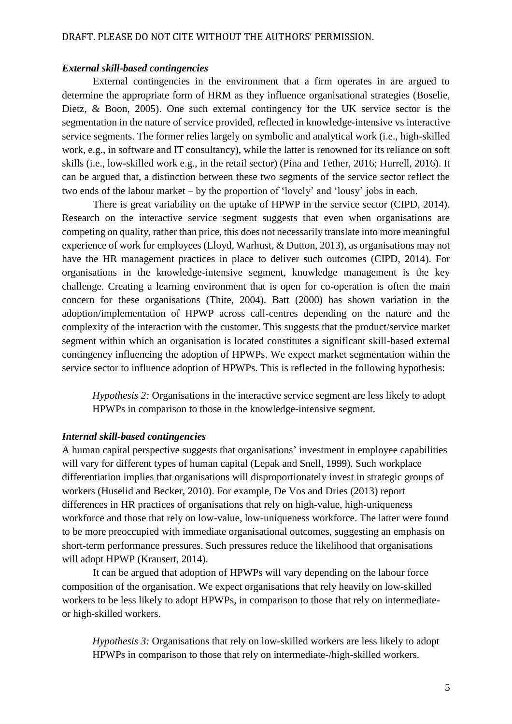#### *External skill-based contingencies*

External contingencies in the environment that a firm operates in are argued to determine the appropriate form of HRM as they influence organisational strategies (Boselie, Dietz, & Boon, 2005). One such external contingency for the UK service sector is the segmentation in the nature of service provided, reflected in knowledge-intensive vs interactive service segments. The former relies largely on symbolic and analytical work (i.e., high-skilled work, e.g., in software and IT consultancy), while the latter is renowned for its reliance on soft skills (i.e., low-skilled work e.g., in the retail sector) (Pina and Tether, 2016; Hurrell, 2016). It can be argued that, a distinction between these two segments of the service sector reflect the two ends of the labour market – by the proportion of 'lovely' and 'lousy' jobs in each.

There is great variability on the uptake of HPWP in the service sector (CIPD, 2014). Research on the interactive service segment suggests that even when organisations are competing on quality, rather than price, this does not necessarily translate into more meaningful experience of work for employees (Lloyd, Warhust, & Dutton, 2013), as organisations may not have the HR management practices in place to deliver such outcomes (CIPD, 2014). For organisations in the knowledge-intensive segment, knowledge management is the key challenge. Creating a learning environment that is open for co-operation is often the main concern for these organisations (Thite, 2004). Batt (2000) has shown variation in the adoption/implementation of HPWP across call-centres depending on the nature and the complexity of the interaction with the customer. This suggests that the product/service market segment within which an organisation is located constitutes a significant skill-based external contingency influencing the adoption of HPWPs. We expect market segmentation within the service sector to influence adoption of HPWPs. This is reflected in the following hypothesis:

*Hypothesis 2:* Organisations in the interactive service segment are less likely to adopt HPWPs in comparison to those in the knowledge-intensive segment.

#### *Internal skill-based contingencies*

A human capital perspective suggests that organisations' investment in employee capabilities will vary for different types of human capital (Lepak and Snell, 1999). Such workplace differentiation implies that organisations will disproportionately invest in strategic groups of workers (Huselid and Becker, 2010). For example, De Vos and Dries (2013) report differences in HR practices of organisations that rely on high-value, high-uniqueness workforce and those that rely on low-value, low-uniqueness workforce. The latter were found to be more preoccupied with immediate organisational outcomes, suggesting an emphasis on short-term performance pressures. Such pressures reduce the likelihood that organisations will adopt HPWP (Krausert, 2014).

It can be argued that adoption of HPWPs will vary depending on the labour force composition of the organisation. We expect organisations that rely heavily on low-skilled workers to be less likely to adopt HPWPs, in comparison to those that rely on intermediateor high-skilled workers.

*Hypothesis 3:* Organisations that rely on low-skilled workers are less likely to adopt HPWPs in comparison to those that rely on intermediate-/high-skilled workers.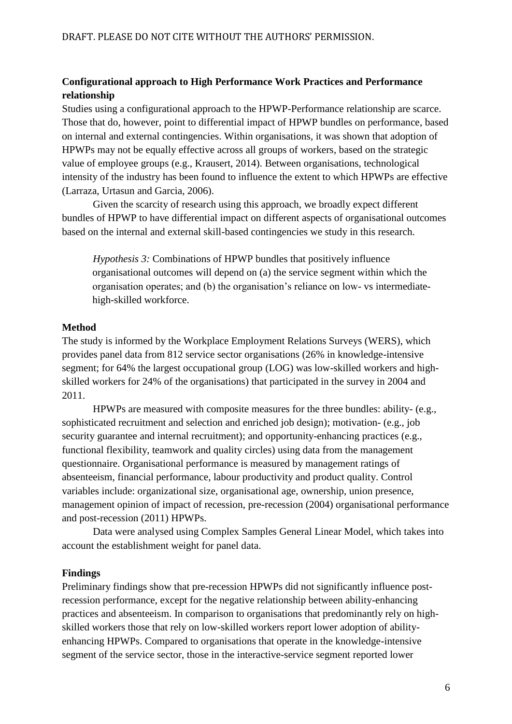# **Configurational approach to High Performance Work Practices and Performance relationship**

Studies using a configurational approach to the HPWP-Performance relationship are scarce. Those that do, however, point to differential impact of HPWP bundles on performance, based on internal and external contingencies. Within organisations, it was shown that adoption of HPWPs may not be equally effective across all groups of workers, based on the strategic value of employee groups (e.g., Krausert, 2014). Between organisations, technological intensity of the industry has been found to influence the extent to which HPWPs are effective (Larraza, Urtasun and Garcia, 2006).

Given the scarcity of research using this approach, we broadly expect different bundles of HPWP to have differential impact on different aspects of organisational outcomes based on the internal and external skill-based contingencies we study in this research.

*Hypothesis 3:* Combinations of HPWP bundles that positively influence organisational outcomes will depend on (a) the service segment within which the organisation operates; and (b) the organisation's reliance on low- vs intermediatehigh-skilled workforce.

### **Method**

The study is informed by the Workplace Employment Relations Surveys (WERS), which provides panel data from 812 service sector organisations (26% in knowledge-intensive segment; for 64% the largest occupational group (LOG) was low-skilled workers and highskilled workers for 24% of the organisations) that participated in the survey in 2004 and 2011.

HPWPs are measured with composite measures for the three bundles: ability- (e.g., sophisticated recruitment and selection and enriched job design); motivation- (e.g., job security guarantee and internal recruitment); and opportunity-enhancing practices (e.g., functional flexibility, teamwork and quality circles) using data from the management questionnaire. Organisational performance is measured by management ratings of absenteeism, financial performance, labour productivity and product quality. Control variables include: organizational size, organisational age, ownership, union presence, management opinion of impact of recession, pre-recession (2004) organisational performance and post-recession (2011) HPWPs.

Data were analysed using Complex Samples General Linear Model, which takes into account the establishment weight for panel data.

## **Findings**

Preliminary findings show that pre-recession HPWPs did not significantly influence postrecession performance, except for the negative relationship between ability-enhancing practices and absenteeism. In comparison to organisations that predominantly rely on highskilled workers those that rely on low-skilled workers report lower adoption of abilityenhancing HPWPs. Compared to organisations that operate in the knowledge-intensive segment of the service sector, those in the interactive-service segment reported lower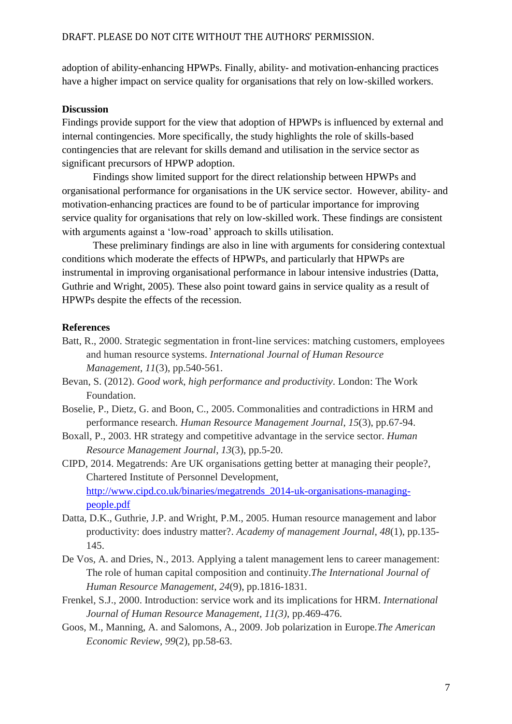adoption of ability-enhancing HPWPs. Finally, ability- and motivation-enhancing practices have a higher impact on service quality for organisations that rely on low-skilled workers.

# **Discussion**

Findings provide support for the view that adoption of HPWPs is influenced by external and internal contingencies. More specifically, the study highlights the role of skills-based contingencies that are relevant for skills demand and utilisation in the service sector as significant precursors of HPWP adoption.

Findings show limited support for the direct relationship between HPWPs and organisational performance for organisations in the UK service sector. However, ability- and motivation-enhancing practices are found to be of particular importance for improving service quality for organisations that rely on low-skilled work. These findings are consistent with arguments against a 'low-road' approach to skills utilisation.

These preliminary findings are also in line with arguments for considering contextual conditions which moderate the effects of HPWPs, and particularly that HPWPs are instrumental in improving organisational performance in labour intensive industries (Datta, Guthrie and Wright, 2005). These also point toward gains in service quality as a result of HPWPs despite the effects of the recession.

## **References**

- Batt, R., 2000. Strategic segmentation in front-line services: matching customers, employees and human resource systems. *International Journal of Human Resource Management*, *11*(3), pp.540-561.
- Bevan, S. (2012). *Good work, high performance and productivity*. London: The Work Foundation.
- Boselie, P., Dietz, G. and Boon, C., 2005. Commonalities and contradictions in HRM and performance research. *Human Resource Management Journal*, *15*(3), pp.67-94.
- Boxall, P., 2003. HR strategy and competitive advantage in the service sector. *Human Resource Management Journal*, *13*(3), pp.5-20.
- CIPD, 2014. Megatrends: Are UK organisations getting better at managing their people?, Chartered Institute of Personnel Development, [http://www.cipd.co.uk/binaries/megatrends\\_2014-uk-organisations-managing](http://www.cipd.co.uk/binaries/megatrends_2014-uk-organisations-managing-people.pdf)[people.pdf](http://www.cipd.co.uk/binaries/megatrends_2014-uk-organisations-managing-people.pdf)
- Datta, D.K., Guthrie, J.P. and Wright, P.M., 2005. Human resource management and labor productivity: does industry matter?. *Academy of management Journal*, *48*(1), pp.135- 145.
- De Vos, A. and Dries, N., 2013. Applying a talent management lens to career management: The role of human capital composition and continuity.*The International Journal of Human Resource Management*, *24*(9), pp.1816-1831.
- Frenkel, S.J., 2000. Introduction: service work and its implications for HRM. *International Journal of Human Resource Management, 11(3)*, pp.469-476.
- Goos, M., Manning, A. and Salomons, A., 2009. Job polarization in Europe.*The American Economic Review*, *99*(2), pp.58-63.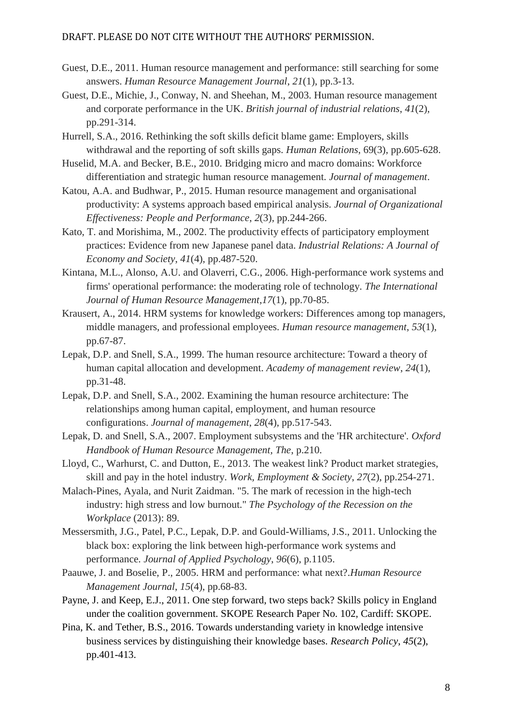### DRAFT. PLEASE DO NOT CITE WITHOUT THE AUTHORS' PERMISSION.

- Guest, D.E., 2011. Human resource management and performance: still searching for some answers. *Human Resource Management Journal*, *21*(1), pp.3-13.
- Guest, D.E., Michie, J., Conway, N. and Sheehan, M., 2003. Human resource management and corporate performance in the UK. *British journal of industrial relations*, *41*(2), pp.291-314.
- Hurrell, S.A., 2016. Rethinking the soft skills deficit blame game: Employers, skills withdrawal and the reporting of soft skills gaps. *Human Relations*, 69(3), pp.605-628.
- Huselid, M.A. and Becker, B.E., 2010. Bridging micro and macro domains: Workforce differentiation and strategic human resource management. *Journal of management*.
- Katou, A.A. and Budhwar, P., 2015. Human resource management and organisational productivity: A systems approach based empirical analysis. *Journal of Organizational Effectiveness: People and Performance*, *2*(3), pp.244-266.
- Kato, T. and Morishima, M., 2002. The productivity effects of participatory employment practices: Evidence from new Japanese panel data. *Industrial Relations: A Journal of Economy and Society*, *41*(4), pp.487-520.
- Kintana, M.L., Alonso, A.U. and Olaverri, C.G., 2006. High-performance work systems and firms' operational performance: the moderating role of technology. *The International Journal of Human Resource Management*,*17*(1), pp.70-85.
- Krausert, A., 2014. HRM systems for knowledge workers: Differences among top managers, middle managers, and professional employees. *Human resource management*, *53*(1), pp.67-87.
- Lepak, D.P. and Snell, S.A., 1999. The human resource architecture: Toward a theory of human capital allocation and development. *Academy of management review*, *24*(1), pp.31-48.
- Lepak, D.P. and Snell, S.A., 2002. Examining the human resource architecture: The relationships among human capital, employment, and human resource configurations. *Journal of management*, *28*(4), pp.517-543.
- Lepak, D. and Snell, S.A., 2007. Employment subsystems and the 'HR architecture'. *Oxford Handbook of Human Resource Management, The*, p.210.
- Lloyd, C., Warhurst, C. and Dutton, E., 2013. The weakest link? Product market strategies, skill and pay in the hotel industry. *Work, Employment & Society*, *27*(2), pp.254-271.
- Malach-Pines, Ayala, and Nurit Zaidman. "5. The mark of recession in the high-tech industry: high stress and low burnout." *The Psychology of the Recession on the Workplace* (2013): 89.
- Messersmith, J.G., Patel, P.C., Lepak, D.P. and Gould-Williams, J.S., 2011. Unlocking the black box: exploring the link between high-performance work systems and performance. *Journal of Applied Psychology*, *96*(6), p.1105.
- Paauwe, J. and Boselie, P., 2005. HRM and performance: what next?.*Human Resource Management Journal*, *15*(4), pp.68-83.
- Payne, J. and Keep, E.J., 2011. One step forward, two steps back? Skills policy in England under the coalition government. SKOPE Research Paper No. 102, Cardiff: SKOPE.
- Pina, K. and Tether, B.S., 2016. Towards understanding variety in knowledge intensive business services by distinguishing their knowledge bases. *Research Policy*, *45*(2), pp.401-413.